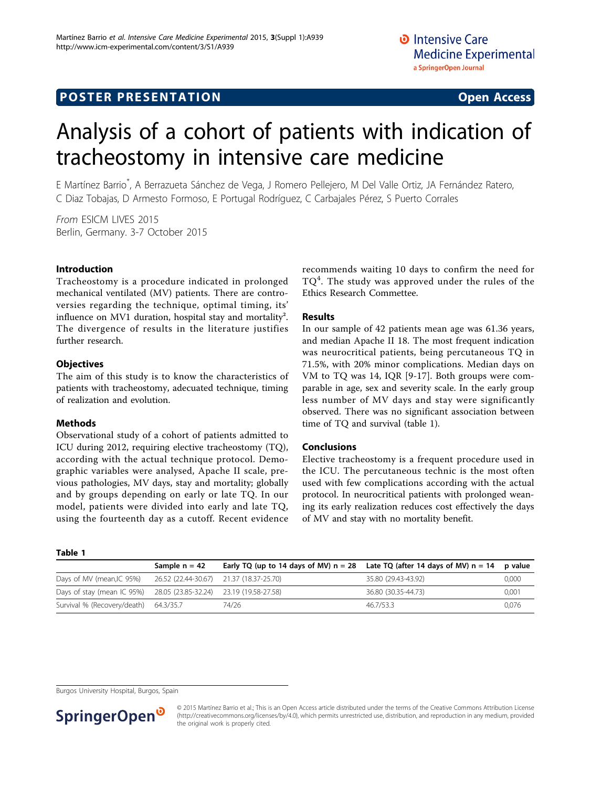# Analysis of a cohort of patients with indication of tracheostomy in intensive care medicine

E Martínez Barrio\* , A Berrazueta Sánchez de Vega, J Romero Pellejero, M Del Valle Ortiz, JA Fernández Ratero, C Diaz Tobajas, D Armesto Formoso, E Portugal Rodríguez, C Carbajales Pérez, S Puerto Corrales

From ESICM LIVES 2015 Berlin, Germany. 3-7 October 2015

### Introduction

Tracheostomy is a procedure indicated in prolonged mechanical ventilated (MV) patients. There are controversies regarding the technique, optimal timing, its' influence on MV1 duration, hospital stay and mortality<sup>2</sup>. The divergence of results in the literature justifies further research.

#### **Objectives**

The aim of this study is to know the characteristics of patients with tracheostomy, adecuated technique, timing of realization and evolution.

#### Methods

Table 1

Observational study of a cohort of patients admitted to ICU during 2012, requiring elective tracheostomy (TQ), according with the actual technique protocol. Demographic variables were analysed, Apache II scale, previous pathologies, MV days, stay and mortality; globally and by groups depending on early or late TQ. In our model, patients were divided into early and late TQ, using the fourteenth day as a cutoff. Recent evidence recommends waiting 10 days to confirm the need for  $TQ<sup>4</sup>$ . The study was approved under the rules of the Ethics Research Commettee.

## Results

In our sample of 42 patients mean age was 61.36 years, and median Apache II 18. The most frequent indication was neurocritical patients, being percutaneous TQ in 71.5%, with 20% minor complications. Median days on VM to TQ was 14, IQR [9-17]. Both groups were comparable in age, sex and severity scale. In the early group less number of MV days and stay were significantly observed. There was no significant association between time of TQ and survival (table 1).

#### Conclusions

Elective tracheostomy is a frequent procedure used in the ICU. The percutaneous technic is the most often used with few complications according with the actual protocol. In neurocritical patients with prolonged weaning its early realization reduces cost effectively the days of MV and stay with no mortality benefit.

|                                       | Sample $n = 42$                         | Early TQ (up to 14 days of MV) $n = 28$ | Late TQ (after 14 days of MV) $n = 14$ | p value |
|---------------------------------------|-----------------------------------------|-----------------------------------------|----------------------------------------|---------|
| Days of MV (mean, IC 95%)             | 26.52 (22.44-30.67) 21.37 (18.37-25.70) |                                         | 35.80 (29.43-43.92)                    | 0.000   |
| Days of stay (mean IC 95%)            | 28.05 (23.85-32.24) 23.19 (19.58-27.58) |                                         | 36.80 (30.35-44.73)                    | 0.001   |
| Survival % (Recovery/death) 64.3/35.7 |                                         | 74/26                                   | 46.7/53.3                              | 0.076   |

Burgos University Hospital, Burgos, Spain



<sup>© 2015</sup> Martínez Barrio et al.; This is an Open Access article distributed under the terms of the Creative Commons Attribution License [\(http://creativecommons.org/licenses/by/4.0](http://creativecommons.org/licenses/by/4.0)), which permits unrestricted use, distribution, and reproduction in any medium, provided the original work is properly cited.